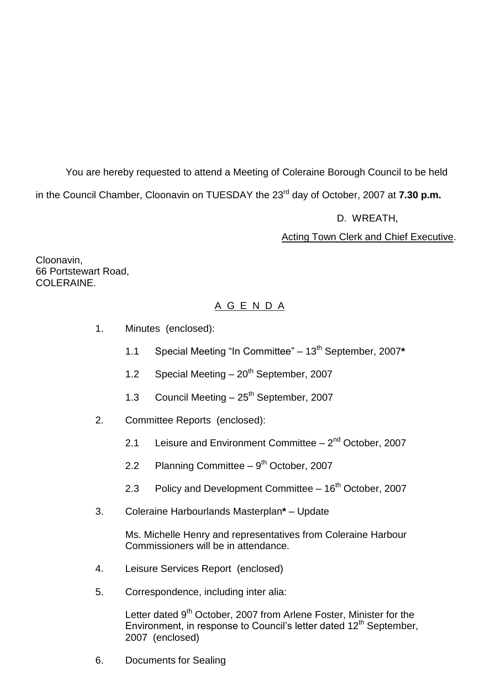You are hereby requested to attend a Meeting of Coleraine Borough Council to be held in the Council Chamber, Cloonavin on TUESDAY the 23<sup>rd</sup> day of October, 2007 at **7.30 p.m.** 

D. WREATH,

Acting Town Clerk and Chief Executive.

Cloonavin, 66 Portstewart Road, COLERAINE.

# A G E N D A

- 1. Minutes (enclosed):
	- 1.1 Special Meeting "In Committee" 13<sup>th</sup> September, 2007\*
	- 1.2 Special Meeting  $-20^{th}$  September, 2007
	- 1.3 Council Meeting 25<sup>th</sup> September, 2007
- 2. Committee Reports (enclosed):
	- 2.1 Leisure and Environment Committee 2<sup>nd</sup> October, 2007
	- 2.2 Planning Committee  $-9<sup>th</sup>$  October, 2007
	- 2.3 Policy and Development Committee  $-16<sup>th</sup>$  October, 2007
- 3. Coleraine Harbourlands Masterplan**\*** –Update

Ms. Michelle Henry and representatives from Coleraine Harbour Commissioners will be in attendance.

- 4. Leisure Services Report (enclosed)
- 5. Correspondence, including inter alia:

Letter dated 9<sup>th</sup> October, 2007 from Arlene Foster, Minister for the Environment, in response to Council's letter dated 12<sup>th</sup> September. 2007 (enclosed)

6. Documents for Sealing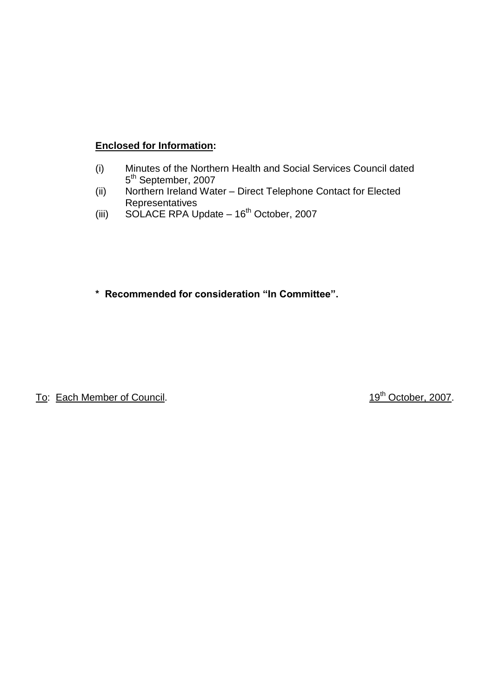#### **Enclosed for Information:**

- (i) Minutes of the Northern Health and Social Services Council dated 5<sup>th</sup> September, 2007
- (ii) Northern Ireland Water Direct Telephone Contact for Elected **Representatives**
- (iii) SOLACE RPA Update  $-16^{th}$  October, 2007

\* Recommended for consideration "In Committee".

To: Each Member of Council. 19th October, 2007.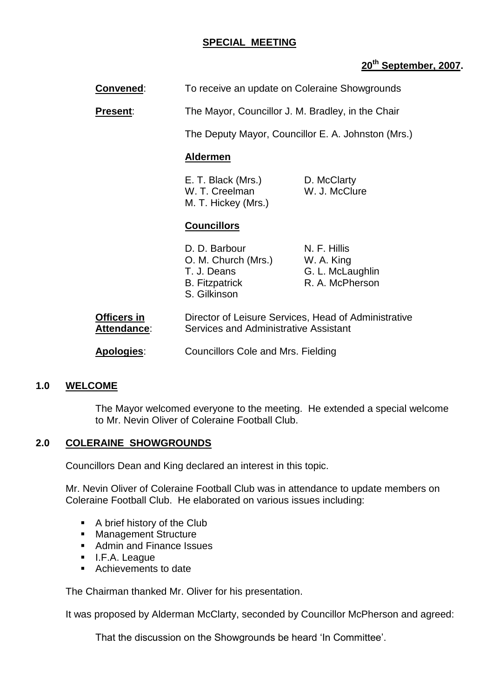#### **SPECIAL MEETING**

#### **20 th September, 2007.**

| <b>Convened:</b> | To receive an update on Coleraine Showgrounds |
|------------------|-----------------------------------------------|
|------------------|-----------------------------------------------|

**Present:** The Mayor, Councillor J. M. Bradley, in the Chair

The Deputy Mayor, Councillor E. A. Johnston (Mrs.)

#### **Aldermen**

| E. T. Black (Mrs.)  | D. McClarty   |
|---------------------|---------------|
| W. T. Creelman      | W. J. McClure |
| M. T. Hickey (Mrs.) |               |

#### **Councillors**

|    | D. D. Barbour<br>O. M. Church (Mrs.)<br>T. J. Deans<br><b>B.</b> Fitzpatrick<br>S. Gilkinson | N. F. Hillis<br>W. A. King<br>G. L. McLaughlin<br>R. A. McPherson |
|----|----------------------------------------------------------------------------------------------|-------------------------------------------------------------------|
| in |                                                                                              | Director of Leisure Services. Head of Administra                  |

| Officers in        | Director of Leisure Services, Head of Administrative |
|--------------------|------------------------------------------------------|
| <b>Attendance:</b> | Services and Administrative Assistant                |

**Apologies**: Councillors Cole and Mrs. Fielding

#### **1.0 WELCOME**

The Mayor welcomed everyone to the meeting. He extended a special welcome to Mr. Nevin Oliver of Coleraine Football Club.

#### **2.0 COLERAINE SHOWGROUNDS**

Councillors Dean and King declared an interest in this topic.

Mr. Nevin Oliver of Coleraine Football Club was in attendance to update members on Coleraine Football Club. He elaborated on various issues including:

- A brief history of the Club
- **Management Structure**
- **Admin and Finance Issues**
- **I.F.A. League**
- Achievements to date

The Chairman thanked Mr. Oliver for his presentation.

It was proposed by Alderman McClarty, seconded by Councillor McPherson and agreed:

That the discussion on the Showgrounds be heard 'In Committee'.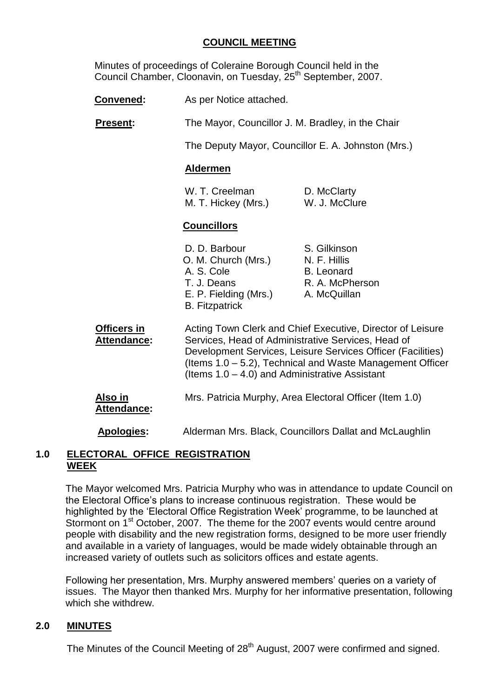#### **COUNCIL MEETING**

Minutes of proceedings of Coleraine Borough Council held in the Council Chamber, Cloonavin, on Tuesday, 25<sup>th</sup> September, 2007.

- **Convened:** As per Notice attached.
- **Present:** The Mayor, Councillor J. M. Bradley, in the Chair

The Deputy Mayor, Councillor E. A. Johnston (Mrs.)

#### **Aldermen**

| W. T. Creelman      | D. McClarty   |
|---------------------|---------------|
| M. T. Hickey (Mrs.) | W. J. McClure |

#### **Councillors**

| D. D. Barbour         | S. Gilkinson      |
|-----------------------|-------------------|
| O. M. Church (Mrs.)   | N. F. Hillis      |
| A. S. Cole            | <b>B.</b> Leonard |
| T. J. Deans           | R. A. McPherson   |
| E. P. Fielding (Mrs.) | A. McQuillan      |
| <b>B.</b> Fitzpatrick |                   |

**Officers in** Acting Town Clerk and Chief Executive, Director of Leisure Attendance: Services, Head of Administrative Services, Head of Development Services, Leisure Services Officer (Facilities) (Items 1.0 –5.2), Technical and Waste Management Officer (Items  $1.0 - 4.0$ ) and Administrative Assistant **Also in** Mrs. Patricia Murphy, Area Electoral Officer (Item 1.0) **Attendance:**

**Apologies:** Alderman Mrs. Black, Councillors Dallat and McLaughlin

#### **1.0 ELECTORAL OFFICE REGISTRATION WEEK**

The Mayor welcomed Mrs. Patricia Murphy who was in attendance to update Council on the Electoral Office's plans to increase continuous registration. These would be highlighted by the 'Electoral Office Registration Week' programme, to be launched at Stormont on 1<sup>st</sup> October, 2007. The theme for the 2007 events would centre around people with disability and the new registration forms, designed to be more user friendly and available in a variety of languages, would be made widely obtainable through an increased variety of outlets such as solicitors offices and estate agents.

Following her presentation, Mrs. Murphy answered members' queries on a variety of issues. The Mayor then thanked Mrs. Murphy for her informative presentation, following which she withdrew.

#### **2.0 MINUTES**

The Minutes of the Council Meeting of 28<sup>th</sup> August, 2007 were confirmed and signed.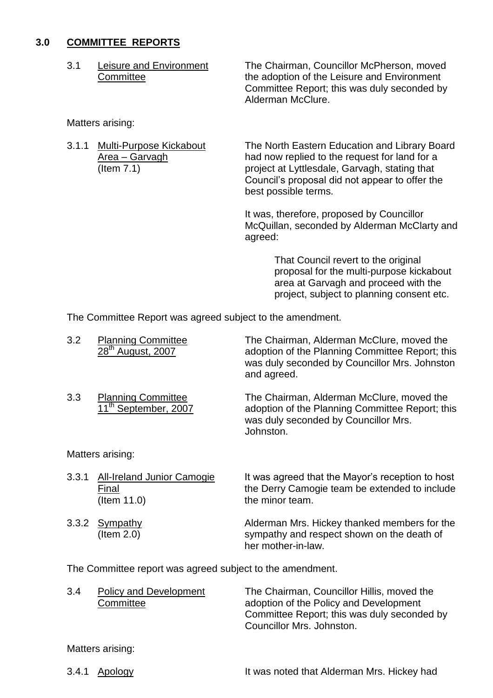#### **3.0 COMMITTEE REPORTS**

3.1 Leisure and Environment The Chairman, Councillor McPherson, moved Committee **the adoption of the Leisure and Environment** Committee Report; this was duly seconded by Alderman McClure.

Matters arising:

3.1.1 Multi-Purpose Kickabout The North Eastern Education and Library Board Area – Garvagh had now replied to the request for land for a (Item 7.1) project at Lyttlesdale, Garvagh, stating that Council's proposal did not appear to offer the best possible terms.

> It was, therefore, proposed by Councillor McQuillan, seconded by Alderman McClarty and agreed:

> > That Council revert to the original proposal for the multi-purpose kickabout area at Garvagh and proceed with the project, subject to planning consent etc.

The Committee Report was agreed subject to the amendment.

| 3.2   | <b>Planning Committee</b><br>28 <sup>th</sup> August, 2007      | The Chairman, Alderman McClure, moved the<br>adoption of the Planning Committee Report; this<br>was duly seconded by Councillor Mrs. Johnston<br>and agreed. |
|-------|-----------------------------------------------------------------|--------------------------------------------------------------------------------------------------------------------------------------------------------------|
| 3.3   | <b>Planning Committee</b><br>11 <sup>th</sup> September, 2007   | The Chairman, Alderman McClure, moved the<br>adoption of the Planning Committee Report; this<br>was duly seconded by Councillor Mrs.<br>Johnston.            |
|       | Matters arising:                                                |                                                                                                                                                              |
| 3.3.1 | <b>All-Ireland Junior Camogie</b><br>Final<br>$($ ltem 11.0 $)$ | It was agreed that the Mayor's reception to host<br>the Derry Camogie team be extended to include<br>the minor team.                                         |
| 3.3.2 | Sympathy<br>$($ ltem 2.0 $)$                                    | Alderman Mrs. Hickey thanked members for the<br>sympathy and respect shown on the death of                                                                   |

The Committee report was agreed subject to the amendment.

| 3.4 | Policy and Development | The Chairman, Councillor Hillis, moved the  |
|-----|------------------------|---------------------------------------------|
|     | Committee              | adoption of the Policy and Development      |
|     |                        | Committee Report; this was duly seconded by |
|     |                        | Councillor Mrs. Johnston.                   |

her mother-in-law.

Matters arising:

3.4.1 Apology **It was noted that Alderman Mrs. Hickey had**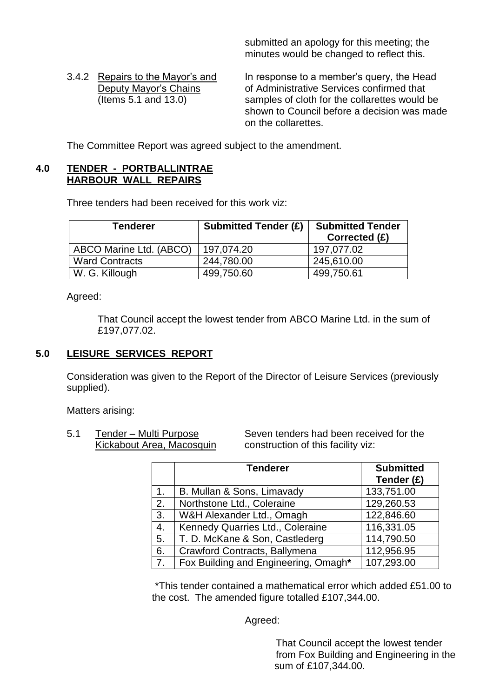submitted an apology for this meeting; the minutes would be changed to reflect this.

3.4.2 Repairs to the Mayor's and In response to a member's query, the Head Deputy Mayor's Chains **of Administrative Services confirmed that** (Items 5.1 and 13.0) samples of cloth for the collarettes would be shown to Council before a decision was made on the collarettes.

The Committee Report was agreed subject to the amendment.

#### **4.0 TENDER - PORTBALLINTRAE HARBOUR WALL REPAIRS**

Three tenders had been received for this work viz:

| <b>Tenderer</b>         | <b>Submitted Tender (£)</b> | <b>Submitted Tender</b><br>Corrected (£) |
|-------------------------|-----------------------------|------------------------------------------|
| ABCO Marine Ltd. (ABCO) | 197,074.20                  | 197,077.02                               |
| <b>Ward Contracts</b>   | 244,780.00                  | 245,610.00                               |
| W. G. Killough          | 499,750.60                  | 499,750.61                               |

Agreed:

That Council accept the lowest tender from ABCO Marine Ltd. in the sum of £197,077.02.

#### **5.0 LEISURE SERVICES REPORT**

Consideration was given to the Report of the Director of Leisure Services (previously supplied).

Matters arising:

5.1 Tender –Multi Purpose Seven tenders had been received for the Kickabout Area, Macosquin construction of this facility viz:

|    | <b>Tenderer</b>                      | <b>Submitted</b><br>Tender (£) |
|----|--------------------------------------|--------------------------------|
| 1. | B. Mullan & Sons, Limavady           | 133,751.00                     |
| 2. | Northstone Ltd., Coleraine           | 129,260.53                     |
| 3. | W&H Alexander Ltd., Omagh            | 122,846.60                     |
| 4. | Kennedy Quarries Ltd., Coleraine     | 116,331.05                     |
| 5. | T. D. McKane & Son, Castlederg       | 114,790.50                     |
| 6. | Crawford Contracts, Ballymena        | 112,956.95                     |
| 7. | Fox Building and Engineering, Omagh* | 107,293.00                     |

\*This tender contained a mathematical error which added £51.00 to the cost. The amended figure totalled £107,344.00.

Agreed:

That Council accept the lowest tender from Fox Building and Engineering in the sum of £107,344.00.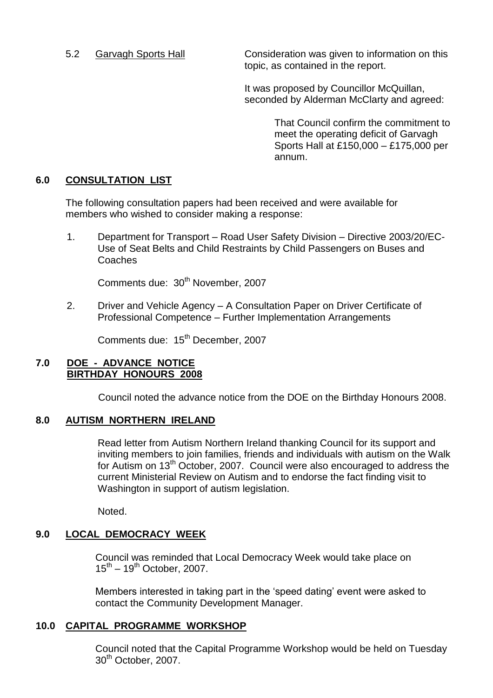5.2 Garvagh Sports Hall Consideration was given to information on this topic, as contained in the report.

> It was proposed by Councillor McQuillan, seconded by Alderman McClarty and agreed:

> > That Council confirm the commitment to meet the operating deficit of Garvagh Sports Hall at £150,000 –£175,000 per annum.

### **6.0 CONSULTATION LIST**

The following consultation papers had been received and were available for members who wished to consider making a response:

1. Department for Transport – Road User Safety Division – Directive 2003/20/EC-Use of Seat Belts and Child Restraints by Child Passengers on Buses and Coaches

Comments due: 30<sup>th</sup> November, 2007

2. Driver and Vehicle Agency - A Consultation Paper on Driver Certificate of Professional Competence - Further Implementation Arrangements

Comments due: 15<sup>th</sup> December, 2007

#### **7.0 DOE - ADVANCE NOTICE BIRTHDAY HONOURS 2008**

Council noted the advance notice from the DOE on the Birthday Honours 2008.

#### **8.0 AUTISM NORTHERN IRELAND**

Read letter from Autism Northern Ireland thanking Council for its support and inviting members to join families, friends and individuals with autism on the Walk for Autism on 13<sup>th</sup> October, 2007. Council were also encouraged to address the current Ministerial Review on Autism and to endorse the fact finding visit to Washington in support of autism legislation.

Noted.

# **9.0 LOCAL DEMOCRACY WEEK**

Council was reminded that Local Democracy Week would take place on  $15^{th}$  –  $19^{th}$  October, 2007.

Members interested in taking part in the 'speed dating' event were asked to contact the Community Development Manager.

#### **10.0 CAPITAL PROGRAMME WORKSHOP**

Council noted that the Capital Programme Workshop would be held on Tuesday 30<sup>th</sup> October, 2007.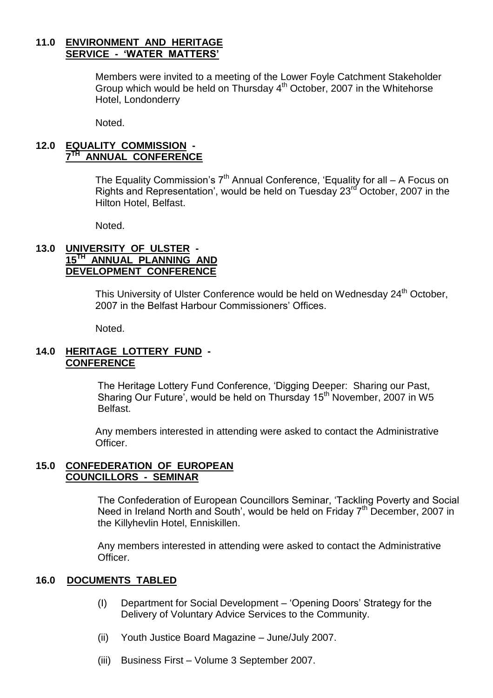#### **11.0 ENVIRONMENT AND HERITAGE SERVICE - 'WATER MATTERS'**

Members were invited to a meeting of the Lower Foyle Catchment Stakeholder Group which would be held on Thursday 4th October, 2007 in the Whitehorse Hotel, Londonderry

Noted.

#### **12.0 EQUALITY COMMISSION - 7 TH ANNUAL CONFERENCE**

The Equality Commission's  $7<sup>th</sup>$  Annual Conference, 'Equality for all – A Focus on Rights and Representation', would be held on Tuesday 23<sup>rd</sup> October, 2007 in the Hilton Hotel, Belfast.

Noted.

#### **13.0 UNIVERSITY OF ULSTER - 15TH ANNUAL PLANNING AND DEVELOPMENT CONFERENCE**

This University of Ulster Conference would be held on Wednesday 24<sup>th</sup> October, 2007 in the Belfast Harbour Commissioners' Offices

Noted.

#### **14.0 HERITAGE LOTTERY FUND - CONFERENCE**

The Heritage Lottery Fund Conference, 'Digging Deeper: Sharing our Past, Sharing Our Future', would be held on Thursday 15<sup>th</sup> November, 2007 in W5 Belfast.

Any members interested in attending were asked to contact the Administrative Officer.

#### **15.0 CONFEDERATION OF EUROPEAN COUNCILLORS - SEMINAR**

The Confederation of European Councillors Seminar, 'Tackling Poverty and Social Need in Ireland North and South', would be held on Friday 7<sup>th</sup> December, 2007 in the Killyhevlin Hotel, Enniskillen.

Any members interested in attending were asked to contact the Administrative Officer.

#### **16.0 DOCUMENTS TABLED**

- (I) Department for Social Development 'Opening Doors' Strategy for the Delivery of Voluntary Advice Services to the Community.
- (ii) Youth Justice Board Magazine June/July 2007.
- (iii) Business First Volume 3 September 2007.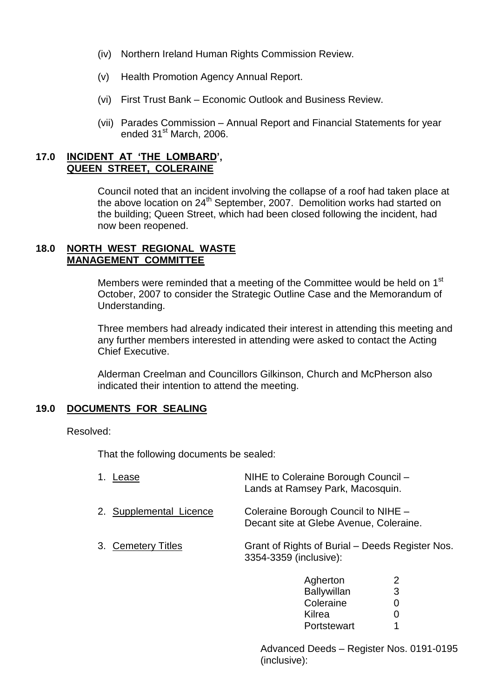- (iv) Northern Ireland Human Rights Commission Review.
- (v) Health Promotion Agency Annual Report.
- (vi) First Trust Bank Economic Outlook and Business Review.
- (vii) Parades Commission –Annual Report and Financial Statements for year ended 31<sup>st</sup> March, 2006.

#### **17.0 INCIDENT AT 'THE LOMBARD', QUEEN STREET, COLERAINE**

Council noted that an incident involving the collapse of a roof had taken place at the above location on 24<sup>th</sup> September, 2007. Demolition works had started on the building; Queen Street, which had been closed following the incident, had now been reopened.

#### **18.0 NORTH WEST REGIONAL WASTE MANAGEMENT COMMITTEE**

Members were reminded that a meeting of the Committee would be held on 1<sup>st</sup> October, 2007 to consider the Strategic Outline Case and the Memorandum of Understanding.

Three members had already indicated their interest in attending this meeting and any further members interested in attending were asked to contact the Acting Chief Executive.

Alderman Creelman and Councillors Gilkinson, Church and McPherson also indicated their intention to attend the meeting.

#### **19.0 DOCUMENTS FOR SEALING**

Resolved:

That the following documents be sealed:

| 1. Lease                | NIHE to Coleraine Borough Council -<br>Lands at Ramsey Park, Macosquin.        |
|-------------------------|--------------------------------------------------------------------------------|
| 2. Supplemental Licence | Coleraine Borough Council to NIHE -<br>Decant site at Glebe Avenue, Coleraine. |
| 3. Cemetery Titles      | Grant of Rights of Burial – Deeds Register Nos.<br>3354-3359 (inclusive):      |
|                         | Agherton<br>2<br>3<br><b>Ballywillan</b>                                       |

Advanced Deeds - Register Nos. 0191-0195 (inclusive):

Coleraine 0 Kilrea 0 Portstewart 1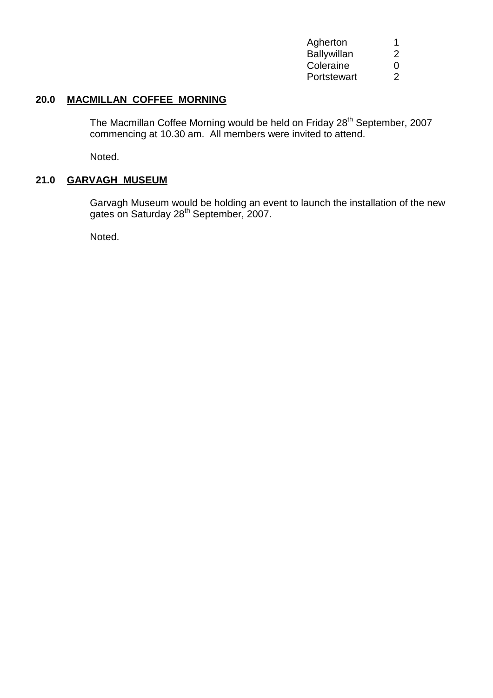| Agherton           | 1 |
|--------------------|---|
| <b>Ballywillan</b> | 2 |
| Coleraine          | 0 |
| Portstewart        | 2 |

### **20.0 MACMILLAN COFFEE MORNING**

The Macmillan Coffee Morning would be held on Friday 28<sup>th</sup> September, 2007 commencing at 10.30 am. All members were invited to attend.

Noted.

#### **21.0 GARVAGH MUSEUM**

Garvagh Museum would be holding an event to launch the installation of the new gates on Saturday 28<sup>th</sup> September, 2007.

Noted.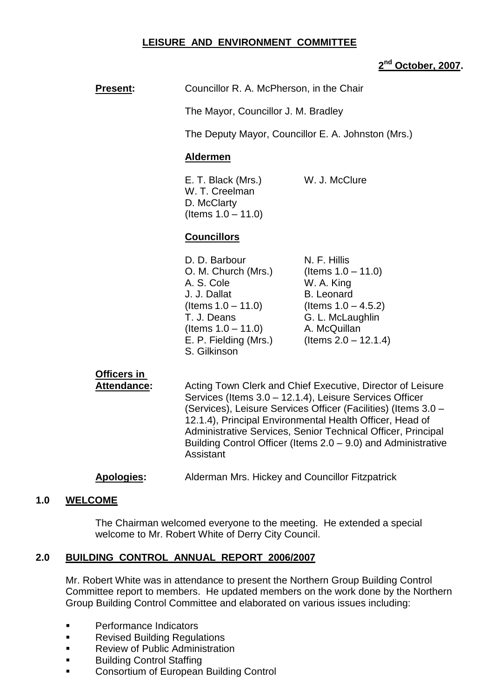#### **LEISURE AND ENVIRONMENT COMMITTEE**

#### **2 nd October, 2007.**

| <b>Present:</b> | Councillor R. A. McPherson, in the Chair                                                                                                                                     |                                                                                                                                                                   |
|-----------------|------------------------------------------------------------------------------------------------------------------------------------------------------------------------------|-------------------------------------------------------------------------------------------------------------------------------------------------------------------|
|                 | The Mayor, Councillor J. M. Bradley                                                                                                                                          |                                                                                                                                                                   |
|                 | The Deputy Mayor, Councillor E. A. Johnston (Mrs.)                                                                                                                           |                                                                                                                                                                   |
|                 | <b>Aldermen</b>                                                                                                                                                              |                                                                                                                                                                   |
|                 | E. T. Black (Mrs.)<br>W. T. Creelman<br>D. McClarty<br>(Items $1.0 - 11.0$ )                                                                                                 | W. J. McClure                                                                                                                                                     |
|                 | <b>Councillors</b>                                                                                                                                                           |                                                                                                                                                                   |
|                 | D. D. Barbour<br>O. M. Church (Mrs.)<br>A. S. Cole<br>J. J. Dallat<br>(Items $1.0 - 11.0$ )<br>T. J. Deans<br>(Items $1.0 - 11.0$ )<br>E. P. Fielding (Mrs.)<br>S. Gilkinson | N. F. Hillis<br>(Items $1.0 - 11.0$ )<br>W. A. King<br><b>B.</b> Leonard<br>(Items $1.0 - 4.5.2$ )<br>G. L. McLaughlin<br>A. McQuillan<br>(Items $2.0 - 12.1.4$ ) |

# **Officers in**

Attendance: Acting Town Clerk and Chief Executive, Director of Leisure Services (Items 3.0 –12.1.4), Leisure Services Officer (Services), Leisure Services Officer (Facilities) (Items 3.0 – 12.1.4), Principal Environmental Health Officer, Head of Administrative Services, Senior Technical Officer, Principal Building Control Officer (Items  $2.0 - 9.0$ ) and Administrative Assistant

#### **Apologies:** Alderman Mrs. Hickey and Councillor Fitzpatrick

#### **1.0 WELCOME**

The Chairman welcomed everyone to the meeting. He extended a special welcome to Mr. Robert White of Derry City Council.

#### **2.0 BUILDING CONTROL ANNUAL REPORT 2006/2007**

Mr. Robert White was in attendance to present the Northern Group Building Control Committee report to members. He updated members on the work done by the Northern Group Building Control Committee and elaborated on various issues including:

- Performance Indicators
- Revised Building Regulations
- **Review of Public Administration**
- **Building Control Staffing**
- Consortium of European Building Control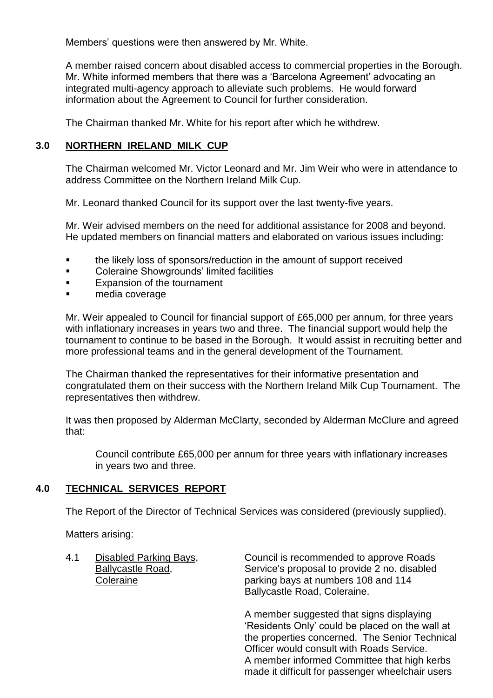Members' questions were then answered by Mr. White.

A member raised concern about disabled access to commercial properties in the Borough. Mr. White informed members that there was a 'Barcelona Agreement' advocating an integrated multi-agency approach to alleviate such problems. He would forward information about the Agreement to Council for further consideration.

The Chairman thanked Mr. White for his report after which he withdrew.

#### **3.0 NORTHERN IRELAND MILK CUP**

The Chairman welcomed Mr. Victor Leonard and Mr. Jim Weir who were in attendance to address Committee on the Northern Ireland Milk Cup.

Mr. Leonard thanked Council for its support over the last twenty-five years.

Mr. Weir advised members on the need for additional assistance for 2008 and beyond. He updated members on financial matters and elaborated on various issues including:

- the likely loss of sponsors/reduction in the amount of support received
- Coleraine Showgrounds' limited facilities
- Expansion of the tournament
- media coverage

Mr. Weir appealed to Council for financial support of £65,000 per annum, for three years with inflationary increases in years two and three. The financial support would help the tournament to continue to be based in the Borough. It would assist in recruiting better and more professional teams and in the general development of the Tournament.

The Chairman thanked the representatives for their informative presentation and congratulated them on their success with the Northern Ireland Milk Cup Tournament. The representatives then withdrew.

It was then proposed by Alderman McClarty, seconded by Alderman McClure and agreed that:

Council contribute £65,000 per annum for three years with inflationary increases in years two and three.

#### **4.0 TECHNICAL SERVICES REPORT**

The Report of the Director of Technical Services was considered (previously supplied).

Matters arising:

| 4.1 | Disabled Parking Bays,<br><b>Ballycastle Road,</b><br>Coleraine | Council is recommended to approve Roads<br>Service's proposal to provide 2 no. disabled<br>parking bays at numbers 108 and 114<br>Ballycastle Road, Coleraine.                                                                            |
|-----|-----------------------------------------------------------------|-------------------------------------------------------------------------------------------------------------------------------------------------------------------------------------------------------------------------------------------|
|     |                                                                 | A member suggested that signs displaying<br>'Residents Only' could be placed on the wall at<br>the properties concerned. The Senior Technical<br>Officer would consult with Roads Service.<br>A member informed Committee that high kerbs |

made it difficult for passenger wheelchair users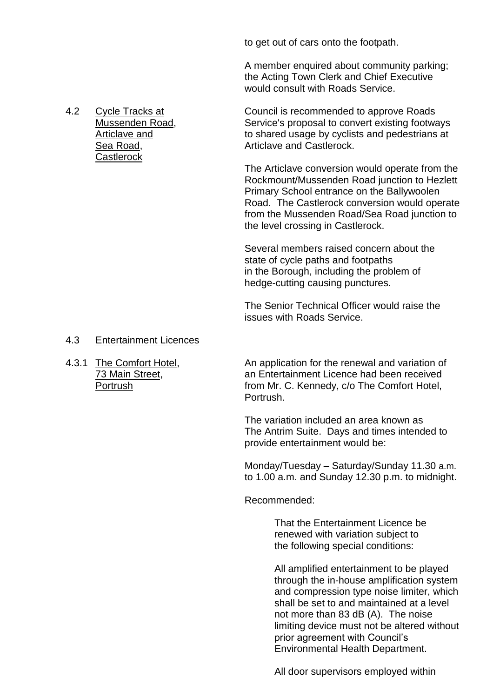to get out of cars onto the footpath.

A member enquired about community parking; the Acting Town Clerk and Chief Executive would consult with Roads Service.

4.2 Cycle Tracks at Council is recommended to approve Roads Mussenden Road, Service's proposal to convert existing footways<br>Articlave and to shared usage by cyclists and pedestrians at to shared usage by cyclists and pedestrians at Sea Road, The Castlerock Articlave and Castlerock.

> The Articlave conversion would operate from the Rockmount/Mussenden Road junction to Hezlett Primary School entrance on the Ballywoolen Road. The Castlerock conversion would operate from the Mussenden Road/Sea Road junction to the level crossing in Castlerock.

Several members raised concern about the state of cycle paths and footpaths in the Borough, including the problem of hedge-cutting causing punctures.

The Senior Technical Officer would raise the issues with Roads Service.

#### 4.3 Entertainment Licences

4.3.1 The Comfort Hotel. An application for the renewal and variation of 73 Main Street, an Entertainment Licence had been received Portrush **From Mr. C. Kennedy, c/o The Comfort Hotel**, Portrush.

> The variation included an area known as The Antrim Suite. Days and times intended to provide entertainment would be:

Monday/Tuesday – Saturday/Sunday 11.30 a.m. to 1.00 a.m. and Sunday 12.30 p.m. to midnight.

Recommended:

That the Entertainment Licence be renewed with variation subject to the following special conditions:

All amplified entertainment to be played through the in-house amplification system and compression type noise limiter, which shall be set to and maintained at a level not more than 83 dB (A). The noise limiting device must not be altered without prior agreement with Council's Environmental Health Department.

All door supervisors employed within

**Castlerock**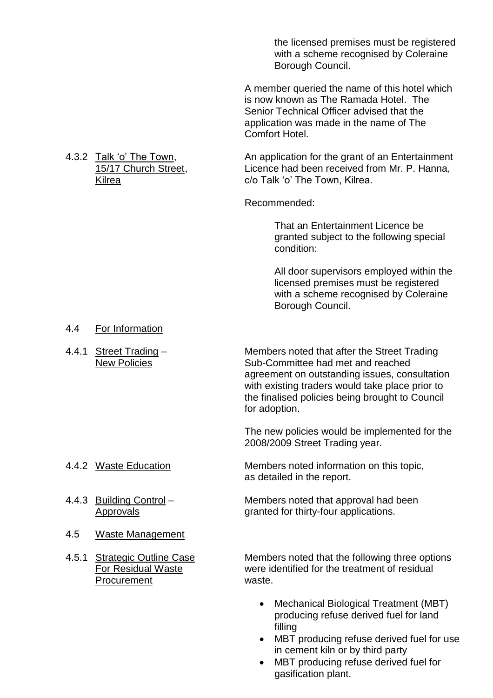the licensed premises must be registered with a scheme recognised by Coleraine Borough Council.

A member queried the name of this hotel which is now known as The Ramada Hotel. The Senior Technical Officer advised that the application was made in the name of The Comfort Hotel.

4.3.2 Talk 'o' The Town, An application for the grant of an Entertainment 15/17 Church Street, Licence had been received from Mr. P. Hanna, Kilrea **c/o Talk** 'o' The Town, Kilrea.

Recommended:

That an Entertainment Licence be granted subject to the following special condition:

All door supervisors employed within the licensed premises must be registered with a scheme recognised by Coleraine Borough Council.

#### 4.4 For Information

4.4.1 Street Trading – Members noted that after the Street Trading New Policies **Sub-Committee had met and reached** agreement on outstanding issues, consultation with existing traders would take place prior to the finalised policies being brought to Council for adoption.

> The new policies would be implemented for the 2008/2009 Street Trading year.

4.4.2 Waste Education Members noted information on this topic, as detailed in the report.

4.4.3 Building Control – Members noted that approval had been Approvals extended for thirty-four applications.

- 4.5 Waste Management
- Procurement waste.

4.5.1 Strategic Outline Case Members noted that the following three options For Residual Waste were identified for the treatment of residual

- Mechanical Biological Treatment (MBT) producing refuse derived fuel for land filling
- MBT producing refuse derived fuel for use in cement kiln or by third party
- MBT producing refuse derived fuel for gasification plant.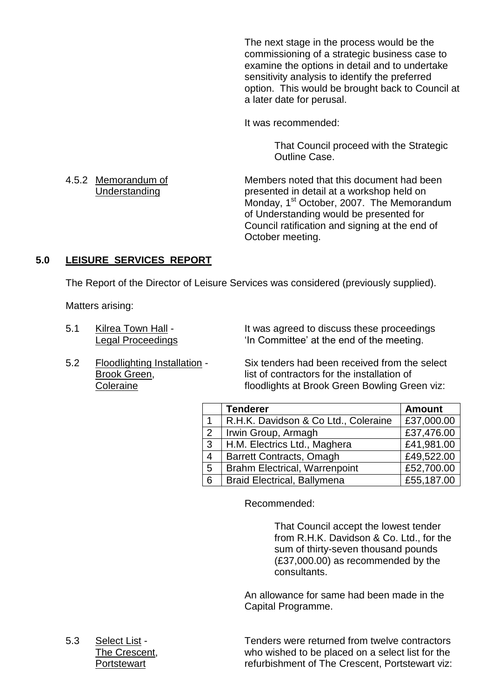The next stage in the process would be the commissioning of a strategic business case to examine the options in detail and to undertake sensitivity analysis to identify the preferred option. This would be brought back to Council at a later date for perusal.

It was recommended:

That Council proceed with the Strategic Outline Case.

4.5.2 Memorandum of Members noted that this document had been Understanding presented in detail at a workshop held on Monday, 1<sup>st</sup> October, 2007. The Memorandum of Understanding would be presented for Council ratification and signing at the end of October meeting.

#### **5.0 LEISURE SERVICES REPORT**

The Report of the Director of Leisure Services was considered (previously supplied).

Matters arising:

5.1 Kilrea Town Hall - It was agreed to discuss these proceedings Legal Proceedings **In Committee'** at the end of the meeting.

5.2 Floodlighting Installation - Six tenders had been received from the select Brook Green, **list of contractors for the installation of** Coleraine floodlights at Brook Green Bowling Green viz:

|                | <b>Tenderer</b>                      | <b>Amount</b> |
|----------------|--------------------------------------|---------------|
|                | R.H.K. Davidson & Co Ltd., Coleraine | £37,000.00    |
| 2              | Irwin Group, Armagh                  | £37,476.00    |
| 3              | H.M. Electrics Ltd., Maghera         | £41,981.00    |
| $\overline{4}$ | <b>Barrett Contracts, Omagh</b>      | £49,522.00    |
| 5              | <b>Brahm Electrical, Warrenpoint</b> | £52,700.00    |
| 6              | <b>Braid Electrical, Ballymena</b>   | £55,187.00    |

Recommended:

That Council accept the lowest tender from R.H.K. Davidson & Co. Ltd., for the sum of thirty-seven thousand pounds (£37,000.00) as recommended by the consultants.

An allowance for same had been made in the Capital Programme.

5.3 Select List - Tenders were returned from twelve contractors The Crescent, who wished to be placed on a select list for the Portstewart **refurbishment of The Crescent, Portstewart viz:**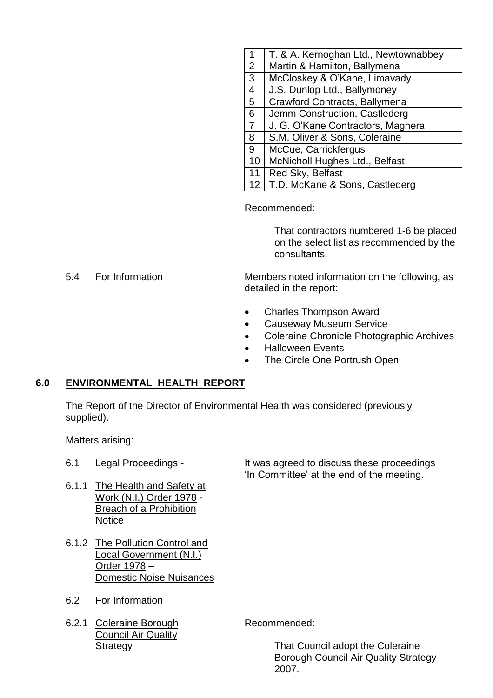| 1               | T. & A. Kernoghan Ltd., Newtownabbey |
|-----------------|--------------------------------------|
| 2               | Martin & Hamilton, Ballymena         |
| $\mathbf{3}$    | McCloskey & O'Kane, Limavady         |
| $\overline{4}$  | J.S. Dunlop Ltd., Ballymoney         |
| $5\overline{)}$ | Crawford Contracts, Ballymena        |
| 6               | Jemm Construction, Castlederg        |
| $\overline{7}$  | J. G. O'Kane Contractors, Maghera    |
| 8               | S.M. Oliver & Sons, Coleraine        |
| 9               | McCue, Carrickfergus                 |
| 10              | McNicholl Hughes Ltd., Belfast       |
| 11              | Red Sky, Belfast                     |
| 12              | T.D. McKane & Sons, Castlederg       |

Recommended:

That contractors numbered 1-6 be placed on the select list as recommended by the consultants.

5.4 For Information Members noted information on the following, as detailed in the report:

- Charles Thompson Award
- Causeway Museum Service
- Coleraine Chronicle Photographic Archives
- Halloween Events
- The Circle One Portrush Open

#### **6.0 ENVIRONMENTAL HEALTH REPORT**

The Report of the Director of Environmental Health was considered (previously supplied).

Matters arising:

- 
- 6.1.1 The Health and Safety at Work (N.I.) Order 1978 - Breach of a Prohibition **Notice**
- 6.1.2 The Pollution Control and Local Government (N.I.) Order 1978 – Domestic Noise Nuisances
- 6.2 For Information
- 6.2.1 Coleraine Borough Recommended: Council Air Quality

6.1 Legal Proceedings - It was agreed to discuss these proceedings 'In Committee' at the end of the meeting.

**Strategy** That Council adopt the Coleraine Borough Council Air Quality Strategy 2007.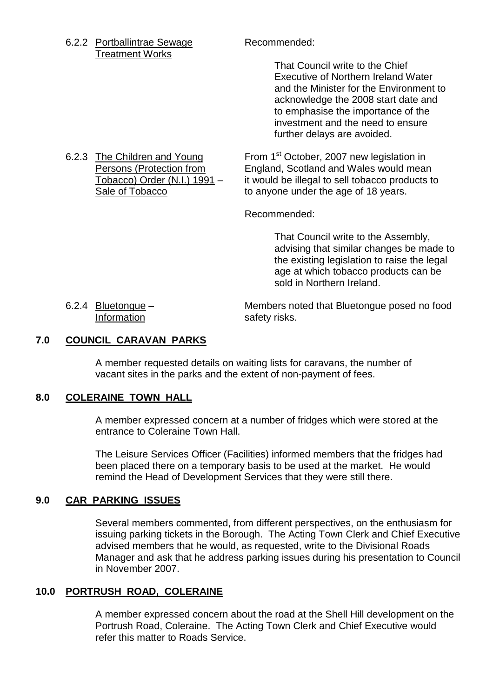6.2.2 Portballintrae Sewage Recommended: Treatment Works

That Council write to the Chief Executive of Northern Ireland Water and the Minister for the Environment to acknowledge the 2008 start date and to emphasise the importance of the investment and the need to ensure further delays are avoided.

6.2.3 The Children and Young From 1<sup>st</sup> October, 2007 new legislation in Persons (Protection from England, Scotland and Wales would mean Tobacco) Order (N.I.) 1991 – it would be illegal to sell tobacco products to Sale of Tobacco **to anyone under the age of 18 years.** 

Recommended:

That Council write to the Assembly, advising that similar changes be made to the existing legislation to raise the legal age at which tobacco products can be sold in Northern Ireland.

6.2.4 Bluetongue – Members noted that Bluetongue posed no food Information safety risks.

#### **7.0 COUNCIL CARAVAN PARKS**

A member requested details on waiting lists for caravans, the number of vacant sites in the parks and the extent of non-payment of fees.

#### **8.0 COLERAINE TOWN HALL**

A member expressed concern at a number of fridges which were stored at the entrance to Coleraine Town Hall.

The Leisure Services Officer (Facilities) informed members that the fridges had been placed there on a temporary basis to be used at the market. He would remind the Head of Development Services that they were still there.

#### **9.0 CAR PARKING ISSUES**

Several members commented, from different perspectives, on the enthusiasm for issuing parking tickets in the Borough. The Acting Town Clerk and Chief Executive advised members that he would, as requested, write to the Divisional Roads Manager and ask that he address parking issues during his presentation to Council in November 2007.

#### **10.0 PORTRUSH ROAD, COLERAINE**

A member expressed concern about the road at the Shell Hill development on the Portrush Road, Coleraine. The Acting Town Clerk and Chief Executive would refer this matter to Roads Service.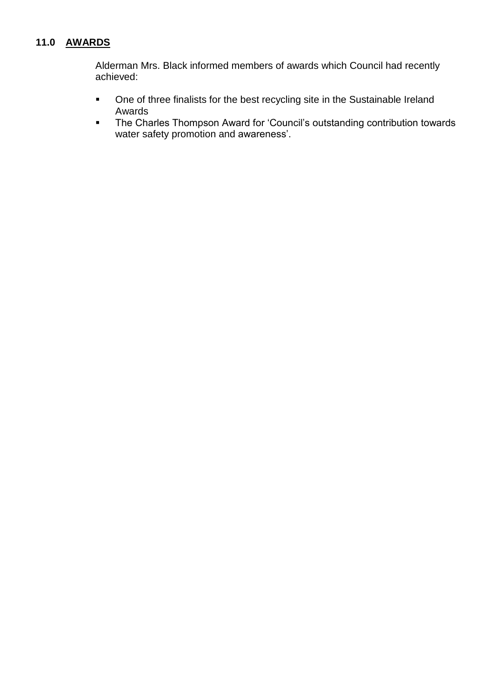#### **11.0 AWARDS**

Alderman Mrs. Black informed members of awards which Council had recently achieved:

- One of three finalists for the best recycling site in the Sustainable Ireland Awards
- The Charles Thompson Award for 'Council's outstanding contribution towards water safety promotion and awareness'.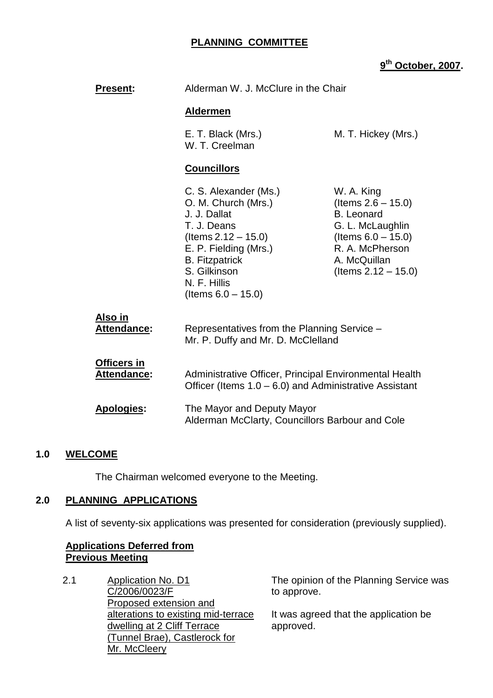### **PLANNING COMMITTEE**

#### **9 th October, 2007.**

| <b>Present:</b>                   | Alderman W. J. McClure in the Chair                                                                                                                                                                                |                                                                                                                                                                    |
|-----------------------------------|--------------------------------------------------------------------------------------------------------------------------------------------------------------------------------------------------------------------|--------------------------------------------------------------------------------------------------------------------------------------------------------------------|
|                                   | <b>Aldermen</b>                                                                                                                                                                                                    |                                                                                                                                                                    |
|                                   | E. T. Black (Mrs.)<br>W. T. Creelman                                                                                                                                                                               | M. T. Hickey (Mrs.)                                                                                                                                                |
|                                   | <b>Councillors</b>                                                                                                                                                                                                 |                                                                                                                                                                    |
|                                   | C. S. Alexander (Ms.)<br>O. M. Church (Mrs.)<br>J. J. Dallat<br>T. J. Deans<br>$($ ltems 2.12 $-$ 15.0)<br>E. P. Fielding (Mrs.)<br><b>B.</b> Fitzpatrick<br>S. Gilkinson<br>N. F. Hillis<br>(Items $6.0 - 15.0$ ) | W. A. King<br>(Items $2.6 - 15.0$ )<br><b>B.</b> Leonard<br>G. L. McLaughlin<br>(Items $6.0 - 15.0$ )<br>R. A. McPherson<br>A. McQuillan<br>(Items $2.12 - 15.0$ ) |
| Also in<br><b>Attendance:</b>     | Representatives from the Planning Service -<br>Mr. P. Duffy and Mr. D. McClelland                                                                                                                                  |                                                                                                                                                                    |
| <u>Officers in</u><br>Attendance: | Administrative Officer, Principal Environmental Health<br>Officer (Items $1.0 - 6.0$ ) and Administrative Assistant                                                                                                |                                                                                                                                                                    |
| <b>Apologies:</b>                 | The Mayor and Deputy Mayor<br>Alderman McClarty, Councillors Barbour and Cole                                                                                                                                      |                                                                                                                                                                    |

#### **1.0 WELCOME**

The Chairman welcomed everyone to the Meeting.

#### **2.0 PLANNING APPLICATIONS**

A list of seventy-six applications was presented for consideration (previously supplied).

#### **Applications Deferred from Previous Meeting**

2.1 Application No. D1 C/2006/0023/F Proposed extension and alterations to existing mid-terrace dwelling at 2 Cliff Terrace (Tunnel Brae), Castlerock for Mr. McCleery

The opinion of the Planning Service was to approve.

It was agreed that the application be approved.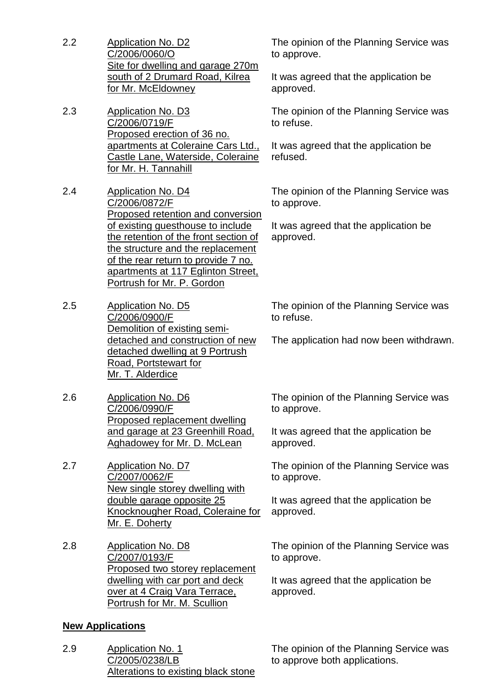- 2.2 Application No. D2 C/2006/0060/O Site for dwelling and garage 270m south of 2 Drumard Road, Kilrea for Mr. McEldowney
- 2.3 Application No. D3 C/2006/0719/F Proposed erection of 36 no. apartments at Coleraine Cars Ltd., Castle Lane, Waterside, Coleraine for Mr. H. Tannahill
- 2.4 Application No. D4 C/2006/0872/F Proposed retention and conversion of existing guesthouse to include the retention of the front section of the structure and the replacement of the rear return to provide 7 no. apartments at 117 Eglinton Street, Portrush for Mr. P. Gordon
- 2.5 Application No. D5 C/2006/0900/F Demolition of existing semidetached and construction of new detached dwelling at 9 Portrush Road, Portstewart for Mr. T. Alderdice
- 2.6 Application No. D6 C/2006/0990/F Proposed replacement dwelling and garage at 23 Greenhill Road, Aghadowey for Mr. D. McLean
- 2.7 Application No. D7 C/2007/0062/F New single storey dwelling with double garage opposite 25 Knocknougher Road, Coleraine for Mr. E. Doherty
- 2.8 Application No. D8 C/2007/0193/F Proposed two storey replacement dwelling with car port and deck over at 4 Craig Vara Terrace, Portrush for Mr. M. Scullion

#### **New Applications**

2.9 Application No. 1 C/2005/0238/LB Alterations to existing black stone The opinion of the Planning Service was to approve.

It was agreed that the application be approved.

The opinion of the Planning Service was to refuse.

It was agreed that the application be refused.

The opinion of the Planning Service was to approve.

It was agreed that the application be approved.

The opinion of the Planning Service was to refuse.

The application had now been withdrawn.

The opinion of the Planning Service was to approve.

It was agreed that the application be approved.

The opinion of the Planning Service was to approve.

It was agreed that the application be approved.

The opinion of the Planning Service was to approve.

It was agreed that the application be approved.

The opinion of the Planning Service was to approve both applications.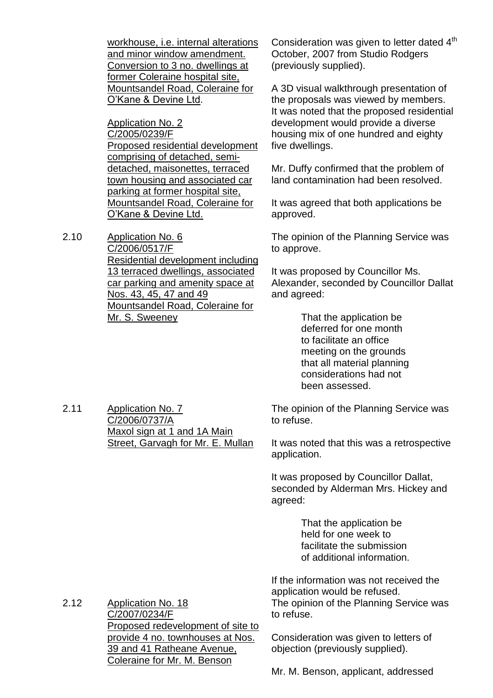workhouse, i.e. internal alterations and minor window amendment. Conversion to 3 no. dwellings at former Coleraine hospital site, Mountsandel Road, Coleraine for O'Kane&DevineLtd.

Application No. 2 C/2005/0239/F Proposed residential development comprising of detached, semidetached, maisonettes, terraced town housing and associated car parking at former hospital site, Mountsandel Road, Coleraine for O'Kane & Devine Ltd.

2.10 Application No. 6 C/2006/0517/F Residential development including 13 terraced dwellings, associated car parking and amenity space at Nos. 43, 45, 47 and 49 Mountsandel Road, Coleraine for Mr. S. Sweeney

Consideration was given to letter dated 4<sup>th</sup> October, 2007 from Studio Rodgers (previously supplied).

A 3D visual walkthrough presentation of the proposals was viewed by members. It was noted that the proposed residential development would provide a diverse housing mix of one hundred and eighty five dwellings.

Mr. Duffy confirmed that the problem of land contamination had been resolved.

It was agreed that both applications be approved.

The opinion of the Planning Service was to approve.

It was proposed by Councillor Ms. Alexander, seconded by Councillor Dallat and agreed:

> That the application be deferred for one month to facilitate an office meeting on the grounds that all material planning considerations had not been assessed.

2.11 Application No. 7 C/2006/0737/A Maxol sign at 1 and 1A Main Street, Garvagh for Mr. E. Mullan

The opinion of the Planning Service was to refuse.

It was noted that this was a retrospective application.

It was proposed by Councillor Dallat, seconded by Alderman Mrs. Hickey and agreed:

> That the application be held for one week to facilitate the submission of additional information.

If the information was not received the application would be refused. The opinion of the Planning Service was to refuse.

Consideration was given to letters of objection (previously supplied).

2.12 Application No. 18 C/2007/0234/F Proposed redevelopment of site to provide 4 no. townhouses at Nos. 39 and 41 Ratheane Avenue, Coleraine for Mr. M. Benson

Mr. M. Benson, applicant, addressed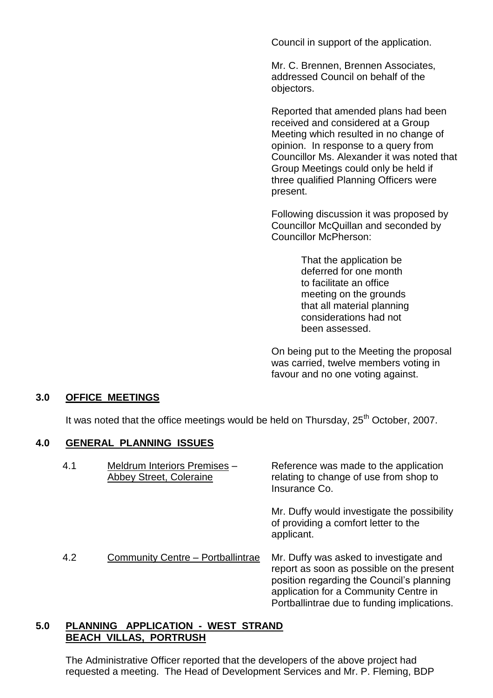Council in support of the application.

Mr. C. Brennen, Brennen Associates, addressed Council on behalf of the objectors.

Reported that amended plans had been received and considered at a Group Meeting which resulted in no change of opinion. In response to a query from Councillor Ms. Alexander it was noted that Group Meetings could only be held if three qualified Planning Officers were present.

Following discussion it was proposed by Councillor McQuillan and seconded by Councillor McPherson:

> That the application be deferred for one month to facilitate an office meeting on the grounds that all material planning considerations had not been assessed.

On being put to the Meeting the proposal was carried, twelve members voting in favour and no one voting against.

#### **3.0 OFFICE MEETINGS**

It was noted that the office meetings would be held on Thursday,  $25<sup>th</sup>$  October, 2007.

#### **4.0 GENERAL PLANNING ISSUES**

| 4.1 | Meldrum Interiors Premises -<br><b>Abbey Street, Coleraine</b> | Reference was made to the application<br>relating to change of use from shop to<br>Insurance Co.                                                                                                                         |
|-----|----------------------------------------------------------------|--------------------------------------------------------------------------------------------------------------------------------------------------------------------------------------------------------------------------|
|     |                                                                | Mr. Duffy would investigate the possibility<br>of providing a comfort letter to the<br>applicant.                                                                                                                        |
| 4.2 | Community Centre - Portballintrae                              | Mr. Duffy was asked to investigate and<br>report as soon as possible on the present<br>position regarding the Council's planning<br>application for a Community Centre in<br>Portballintrae due to funding implications. |

#### **5.0 PLANNING APPLICATION - WEST STRAND BEACH VILLAS, PORTRUSH**

The Administrative Officer reported that the developers of the above project had requested a meeting. The Head of Development Services and Mr. P. Fleming, BDP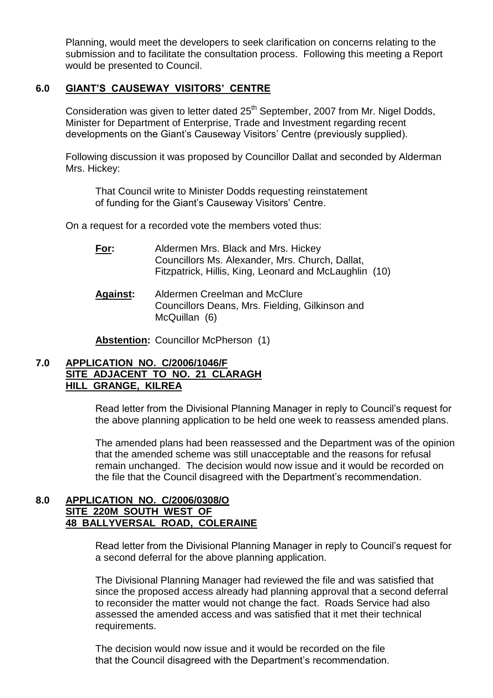Planning, would meet the developers to seek clarification on concerns relating to the submission and to facilitate the consultation process. Following this meeting a Report would be presented to Council.

#### **6.0 GIANT'S CAUSEWAY VISITORS'CENTRE**

Consideration was given to letter dated 25<sup>th</sup> September, 2007 from Mr. Nigel Dodds, Minister for Department of Enterprise, Trade and Investment regarding recent developments on the Giant's Causeway Visitors' Centre (previously supplied).

Following discussion it was proposed by Councillor Dallat and seconded by Alderman Mrs. Hickey:

That Council write to Minister Dodds requesting reinstatement of funding for the Giant's Causeway Visitors' Centre.

On a request for a recorded vote the members voted thus:

- **For:** Aldermen Mrs. Black and Mrs. Hickey Councillors Ms. Alexander, Mrs. Church, Dallat, Fitzpatrick, Hillis, King, Leonard and McLaughlin (10)
- **Against:** Aldermen Creelman and McClure Councillors Deans, Mrs. Fielding, Gilkinson and McQuillan (6)

**Abstention:** Councillor McPherson (1)

#### **7.0 APPLICATION NO. C/2006/1046/F SITE ADJACENT TO NO. 21 CLARAGH HILL GRANGE, KILREA**

Read letter from the Divisional Planning Manager in reply to Council's request for the above planning application to be held one week to reassess amended plans.

The amended plans had been reassessed and the Department was of the opinion that the amended scheme was still unacceptable and the reasons for refusal remain unchanged. The decision would now issue and it would be recorded on the file that the Council disagreed with the Department's recommendation.

#### **8.0 APPLICATION NO. C/2006/0308/O SITE 220M SOUTH WEST OF 48 BALLYVERSAL ROAD, COLERAINE**

Read letter from the Divisional Planning Manager in reply to Council's request for a second deferral for the above planning application.

The Divisional Planning Manager had reviewed the file and was satisfied that since the proposed access already had planning approval that a second deferral to reconsider the matter would not change the fact. Roads Service had also assessed the amended access and was satisfied that it met their technical requirements.

The decision would now issue and it would be recorded on the file that the Council disagreed with the Department's recommendation.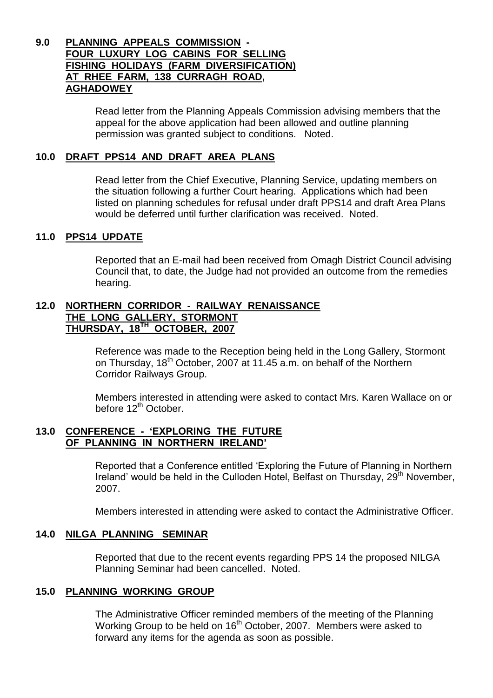#### **9.0 PLANNING APPEALS COMMISSION - FOUR LUXURY LOG CABINS FOR SELLING FISHING HOLIDAYS (FARM DIVERSIFICATION) AT RHEE FARM, 138 CURRAGH ROAD, AGHADOWEY**

Read letter from the Planning Appeals Commission advising members that the appeal for the above application had been allowed and outline planning permission was granted subject to conditions. Noted.

#### **10.0 DRAFT PPS14 AND DRAFT AREA PLANS**

Read letter from the Chief Executive, Planning Service, updating members on the situation following a further Court hearing. Applications which had been listed on planning schedules for refusal under draft PPS14 and draft Area Plans would be deferred until further clarification was received. Noted.

#### **11.0 PPS14 UPDATE**

Reported that an E-mail had been received from Omagh District Council advising Council that, to date, the Judge had not provided an outcome from the remedies hearing.

#### **12.0 NORTHERN CORRIDOR - RAILWAY RENAISSANCE THE LONG GALLERY, STORMONT THURSDAY, 18TH OCTOBER, 2007**

Reference was made to the Reception being held in the Long Gallery, Stormont on Thursday, 18<sup>th</sup> October, 2007 at 11.45 a.m. on behalf of the Northern Corridor Railways Group.

Members interested in attending were asked to contact Mrs. Karen Wallace on or before 12<sup>th</sup> October.

#### **13.0 CONFERENCE - 'EXPLORING THE FUTURE OF PLANNING IN NORTHERN IRELAND'**

Reported that a Conference entitled 'Exploring the Future of Planning in Northern Ireland' would be held in the Culloden Hotel, Belfast on Thursday,  $29<sup>th</sup>$  November, 2007.

Members interested in attending were asked to contact the Administrative Officer.

#### **14.0 NILGA PLANNING SEMINAR**

Reported that due to the recent events regarding PPS 14 the proposed NILGA Planning Seminar had been cancelled. Noted.

#### **15.0 PLANNING WORKING GROUP**

The Administrative Officer reminded members of the meeting of the Planning Working Group to be held on 16<sup>th</sup> October, 2007. Members were asked to forward any items for the agenda as soon as possible.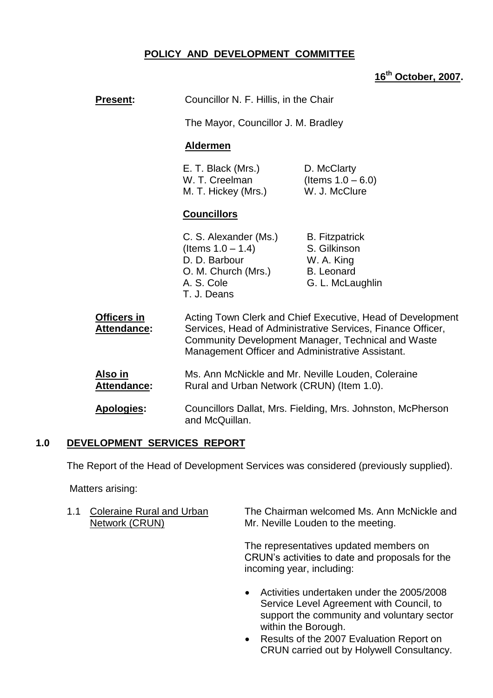### **POLICY AND DEVELOPMENT COMMITTEE**

# **16th October, 2007.**

| <b>Present:</b>               | Councillor N. F. Hillis, in the Chair                                                                              |                                                                                                                                                                                 |
|-------------------------------|--------------------------------------------------------------------------------------------------------------------|---------------------------------------------------------------------------------------------------------------------------------------------------------------------------------|
|                               | The Mayor, Councillor J. M. Bradley                                                                                |                                                                                                                                                                                 |
|                               | <b>Aldermen</b>                                                                                                    |                                                                                                                                                                                 |
|                               | E. T. Black (Mrs.)<br>W. T. Creelman<br>M. T. Hickey (Mrs.)                                                        | D. McClarty<br>(Items $1.0 - 6.0$ )<br>W. J. McClure                                                                                                                            |
|                               | <b>Councillors</b>                                                                                                 |                                                                                                                                                                                 |
|                               | C. S. Alexander (Ms.)<br>(Items $1.0 - 1.4$ )<br>D. D. Barbour<br>O. M. Church (Mrs.)<br>A. S. Cole<br>T. J. Deans | <b>B.</b> Fitzpatrick<br>S. Gilkinson<br>W. A. King<br><b>B.</b> Leonard<br>G. L. McLaughlin                                                                                    |
| Officers in<br>Attendance:    | Management Officer and Administrative Assistant.                                                                   | Acting Town Clerk and Chief Executive, Head of Development<br>Services, Head of Administrative Services, Finance Officer,<br>Community Development Manager, Technical and Waste |
| Also in<br><b>Attendance:</b> | Rural and Urban Network (CRUN) (Item 1.0).                                                                         | Ms. Ann McNickle and Mr. Neville Louden, Coleraine                                                                                                                              |
| <b>Apologies:</b>             | and McQuillan.                                                                                                     | Councillors Dallat, Mrs. Fielding, Mrs. Johnston, McPherson                                                                                                                     |

#### **1.0 DEVELOPMENT SERVICES REPORT**

The Report of the Head of Development Services was considered (previously supplied).

Matters arising:

| 1.1 Coleraine Rural and Urban | The Chairman welcomed Ms. Ann McNickle and |
|-------------------------------|--------------------------------------------|
| Network (CRUN)                | Mr. Neville Louden to the meeting.         |

The representatives updated members on CRUN's activities to date and proposals for the incoming year, including:

- Activities undertaken under the 2005/2008 Service Level Agreement with Council, to support the community and voluntary sector within the Borough.
- Results of the 2007 Evaluation Report on CRUN carried out by Holywell Consultancy.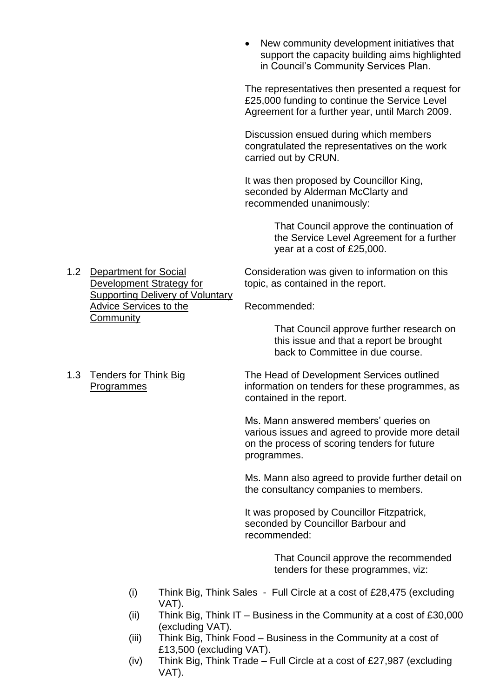New community development initiatives that support the capacity building aims highlighted in Council's Community Services Plan.

The representatives then presented a request for £25,000 funding to continue the Service Level Agreement for a further year, until March 2009.

Discussion ensued during which members congratulated the representatives on the work carried out by CRUN.

It was then proposed by Councillor King, seconded by Alderman McClarty and recommended unanimously:

> That Council approve the continuation of the Service Level Agreement for a further year at a cost of £25,000.

1.2 Department for Social Consideration was given to information on this Development Strategy for topic, as contained in the report.

Advice Services to the Recommended:

That Council approve further research on this issue and that a report be brought back to Committee in due course.

1.3 Tenders for Think Big The Head of Development Services outlined Programmes information on tenders for these programmes, as

Supporting Delivery of Voluntary

**Community** 

contained in the report.

Ms. Mann answered members' queries on various issues and agreed to provide more detail on the process of scoring tenders for future programmes.

Ms. Mann also agreed to provide further detail on the consultancy companies to members.

It was proposed by Councillor Fitzpatrick, seconded by Councillor Barbour and recommended:

> That Council approve the recommended tenders for these programmes, viz:

- (i) Think Big, Think Sales Full Circle at a cost of £28,475 (excluding VAT).
- (ii) Think Big, Think IT Business in the Community at a cost of  $£30,000$ (excluding VAT).
- (iii) Think Big, Think Food Business in the Community at a cost of £13,500 (excluding VAT).
- (iv) Think Big, Think Trade Full Circle at a cost of £27,987 (excluding VAT).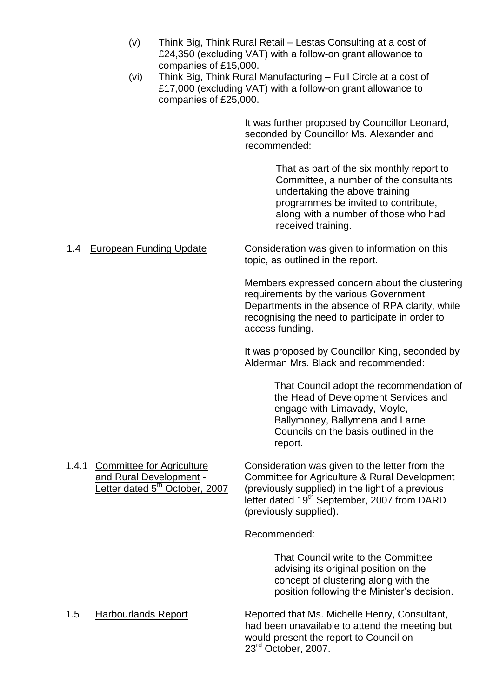- (v) Think Big, Think Rural Retail –Lestas Consulting at a cost of £24,350 (excluding VAT) with a follow-on grant allowance to companies of £15,000.
- (vi) Think Big, Think Rural Manufacturing –Full Circle at a cost of £17,000 (excluding VAT) with a follow-on grant allowance to companies of £25,000.

It was further proposed by Councillor Leonard, seconded by Councillor Ms. Alexander and recommended:

> That as part of the six monthly report to Committee, a number of the consultants undertaking the above training programmes be invited to contribute, along with a number of those who had received training.

1.4 European Funding Update Consideration was given to information on this topic, as outlined in the report.

> Members expressed concern about the clustering requirements by the various Government Departments in the absence of RPA clarity, while recognising the need to participate in order to access funding.

It was proposed by Councillor King, seconded by Alderman Mrs. Black and recommended:

> That Council adopt the recommendation of the Head of Development Services and engage with Limavady, Moyle, Ballymoney, Ballymena and Larne Councils on the basis outlined in the report.

1.4.1 Committee for Agriculture Consideration was given to the letter from the and Rural Development - Committee for Agriculture & Rural Development<br>Letter dated  $5<sup>th</sup>$  October. 2007 (previously supplied) in the light of a previous (previously supplied) in the light of a previous letter dated 19<sup>th</sup> September, 2007 from DARD (previously supplied).

Recommended:

That Council write to the Committee advising its original position on the concept of clustering along with the position following the Minister's decision.

1.5 Harbourlands Report Reported that Ms. Michelle Henry, Consultant, had been unavailable to attend the meeting but would present the report to Council on 23<sup>rd</sup> October, 2007.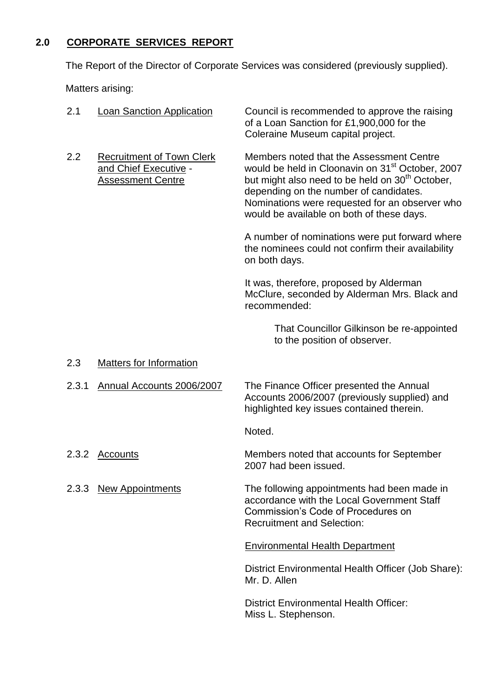# **2.0 CORPORATE SERVICES REPORT**

The Report of the Director of Corporate Services was considered (previously supplied).

Matters arising:

| 2.1   | <b>Loan Sanction Application</b>                                                      | Council is recommended to approve the raising<br>of a Loan Sanction for £1,900,000 for the<br>Coleraine Museum capital project.                                                                                                                                                                                  |
|-------|---------------------------------------------------------------------------------------|------------------------------------------------------------------------------------------------------------------------------------------------------------------------------------------------------------------------------------------------------------------------------------------------------------------|
| 2.2   | <b>Recruitment of Town Clerk</b><br>and Chief Executive -<br><b>Assessment Centre</b> | Members noted that the Assessment Centre<br>would be held in Cloonavin on 31 <sup>st</sup> October, 2007<br>but might also need to be held on 30 <sup>th</sup> October,<br>depending on the number of candidates.<br>Nominations were requested for an observer who<br>would be available on both of these days. |
|       |                                                                                       | A number of nominations were put forward where<br>the nominees could not confirm their availability<br>on both days.                                                                                                                                                                                             |
|       |                                                                                       | It was, therefore, proposed by Alderman<br>McClure, seconded by Alderman Mrs. Black and<br>recommended:                                                                                                                                                                                                          |
|       |                                                                                       | That Councillor Gilkinson be re-appointed<br>to the position of observer.                                                                                                                                                                                                                                        |
| 2.3   | <b>Matters for Information</b>                                                        |                                                                                                                                                                                                                                                                                                                  |
| 2.3.1 | Annual Accounts 2006/2007                                                             | The Finance Officer presented the Annual<br>Accounts 2006/2007 (previously supplied) and<br>highlighted key issues contained therein.                                                                                                                                                                            |
|       |                                                                                       | Noted.                                                                                                                                                                                                                                                                                                           |
| 2.3.2 | Accounts                                                                              | Members noted that accounts for September<br>2007 had been issued.                                                                                                                                                                                                                                               |
| 2.3.3 | <b>New Appointments</b>                                                               | The following appointments had been made in<br>accordance with the Local Government Staff<br>Commission's Code of Procedures on<br><b>Recruitment and Selection:</b>                                                                                                                                             |
|       |                                                                                       | <b>Environmental Health Department</b>                                                                                                                                                                                                                                                                           |
|       |                                                                                       | District Environmental Health Officer (Job Share):<br>Mr. D. Allen                                                                                                                                                                                                                                               |
|       |                                                                                       |                                                                                                                                                                                                                                                                                                                  |

District Environmental Health Officer: Miss L. Stephenson.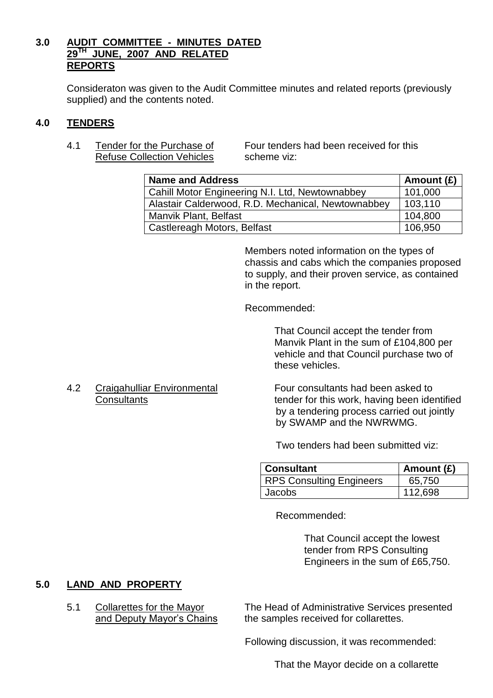#### **3.0 AUDIT COMMITTEE - MINUTES DATED 29TH JUNE, 2007 AND RELATED REPORTS**

Consideraton was given to the Audit Committee minutes and related reports (previously supplied) and the contents noted.

#### **4.0 TENDERS**

Refuse Collection Vehicles scheme viz:

4.1 Tender for the Purchase of Four tenders had been received for this

| <b>Name and Address</b>                                | Amount $(E)$ |
|--------------------------------------------------------|--------------|
| <b>Cahill Motor Engineering N.I. Ltd, Newtownabbey</b> | 101,000      |
| Alastair Calderwood, R.D. Mechanical, Newtownabbey     | 103,110      |
| Manvik Plant, Belfast                                  | 104,800      |
| Castlereagh Motors, Belfast                            | 106.950      |

Members noted information on the types of chassis and cabs which the companies proposed to supply, and their proven service, as contained in the report.

Recommended:

That Council accept the tender from Manvik Plant in the sum of £104,800 per vehicle and that Council purchase two of these vehicles.

# 4.2 Craigahulliar Environmental Four consultants had been asked to

Consultants **Consultants** tender for this work, having been identified by a tendering process carried out jointly by SWAMP and the NWRWMG.

Two tenders had been submitted viz:

| <b>Consultant</b>               | Amount $(E)$ |
|---------------------------------|--------------|
| <b>RPS Consulting Engineers</b> | 65,750       |
| <b>Jacobs</b>                   | 112.698      |

Recommended:

That Council accept the lowest tender from RPS Consulting Engineers in the sum of £65,750.

# **5.0 LAND AND PROPERTY**

5.1 Collarettes for the Mayor The Head of Administrative Services presented and Deputy Mayor's Chains the samples received for collarettes.

Following discussion, it was recommended:

That the Mayor decide on a collarette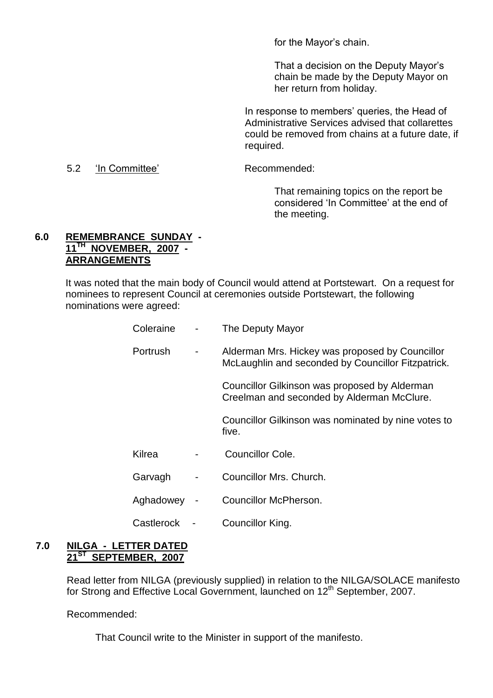for the Mayor's chain.

That a decision on the Deputy Mayor's chain be made by the Deputy Mayor on her return from holiday.

In response to members' queries, the Head of Administrative Services advised that collarettes could be removed from chains at a future date, if required.

#### 5.2 'InCommittee' Recommended:

That remaining topics on the report be considered 'In Committee' at the end of the meeting.

#### **6.0 REMEMBRANCE SUNDAY - 11TH NOVEMBER, 2007 - ARRANGEMENTS**

It was noted that the main body of Council would attend at Portstewart. On a request for nominees to represent Council at ceremonies outside Portstewart, the following nominations were agreed:

| Coleraine       |                              | The Deputy Mayor                                                                                      |
|-----------------|------------------------------|-------------------------------------------------------------------------------------------------------|
| <b>Portrush</b> | $\qquad \qquad \blacksquare$ | Alderman Mrs. Hickey was proposed by Councillor<br>McLaughlin and seconded by Councillor Fitzpatrick. |
|                 |                              | Councillor Gilkinson was proposed by Alderman<br>Creelman and seconded by Alderman McClure.           |
|                 |                              | Councillor Gilkinson was nominated by nine votes to<br>five.                                          |
| Kilrea          |                              | <b>Councillor Cole.</b>                                                                               |
| Garvagh         |                              | Councillor Mrs. Church.                                                                               |
| Aghadowey       |                              | Councillor McPherson.                                                                                 |
| Castlerock      |                              | Councillor King.                                                                                      |

#### **7.0 NILGA - LETTER DATED 21ST SEPTEMBER, 2007**

Read letter from NILGA (previously supplied) in relation to the NILGA/SOLACE manifesto for Strong and Effective Local Government, launched on 12<sup>th</sup> September, 2007.

Recommended:

That Council write to the Minister in support of the manifesto.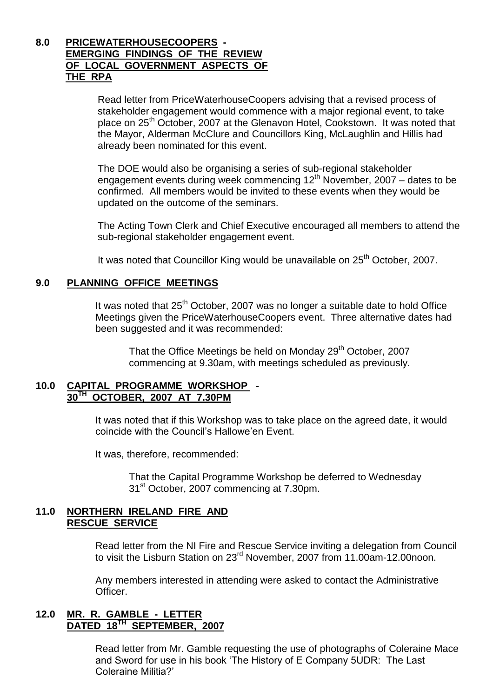#### **8.0 PRICEWATERHOUSECOOPERS - EMERGING FINDINGS OF THE REVIEW OF LOCAL GOVERNMENT ASPECTS OF THE RPA**

Read letter from PriceWaterhouseCoopers advising that a revised process of stakeholder engagement would commence with a major regional event, to take place on 25<sup>th</sup> October, 2007 at the Glenavon Hotel, Cookstown. It was noted that the Mayor, Alderman McClure and Councillors King, McLaughlin and Hillis had already been nominated for this event.

The DOE would also be organising a series of sub-regional stakeholder engagement events during week commencing  $12<sup>th</sup>$  November, 2007 – dates to be confirmed. All members would be invited to these events when they would be updated on the outcome of the seminars.

The Acting Town Clerk and Chief Executive encouraged all members to attend the sub-regional stakeholder engagement event.

It was noted that Councillor King would be unavailable on 25<sup>th</sup> October. 2007.

#### **9.0 PLANNING OFFICE MEETINGS**

It was noted that  $25<sup>th</sup>$  October, 2007 was no longer a suitable date to hold Office Meetings given the PriceWaterhouseCoopers event. Three alternative dates had been suggested and it was recommended:

That the Office Meetings be held on Monday 29<sup>th</sup> October, 2007 commencing at 9.30am, with meetings scheduled as previously.

#### **10.0 CAPITAL PROGRAMME WORKSHOP - 30TH OCTOBER, 2007 AT 7.30PM**

It was noted that if this Workshop was to take place on the agreed date, it would coincide with the Council's Hallowe'en Event.

It was, therefore, recommended:

That the Capital Programme Workshop be deferred to Wednesday 31st October, 2007 commencing at 7.30pm.

#### **11.0 NORTHERN IRELAND FIRE AND RESCUE SERVICE**

Read letter from the NI Fire and Rescue Service inviting a delegation from Council to visit the Lisburn Station on 23<sup>rd</sup> November, 2007 from 11.00am-12.00noon.

Any members interested in attending were asked to contact the Administrative **Officer** 

#### **12.0 MR. R. GAMBLE - LETTER DATED 18TH SEPTEMBER, 2007**

Read letter from Mr. Gamble requesting the use of photographs of Coleraine Mace and Sword for use in his book 'The History of E Company 5UDR: The Last Coleraine Militia?'